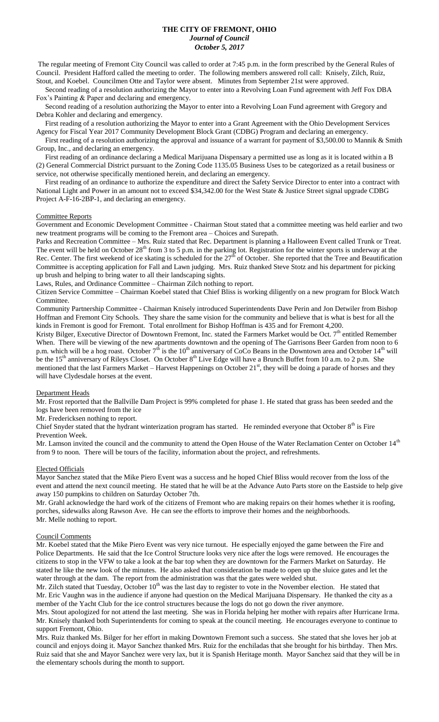## **THE CITY OF FREMONT, OHIO** *Journal of Council October 5, 2017*

The regular meeting of Fremont City Council was called to order at 7:45 p.m. in the form prescribed by the General Rules of Council. President Hafford called the meeting to order. The following members answered roll call: Knisely, Zilch, Ruiz, Stout, and Koebel. Councilmen Otte and Taylor were absent. Minutes from September 21st were approved.

 Second reading of a resolution authorizing the Mayor to enter into a Revolving Loan Fund agreement with Jeff Fox DBA Fox's Painting & Paper and declaring and emergency.

 Second reading of a resolution authorizing the Mayor to enter into a Revolving Loan Fund agreement with Gregory and Debra Kohler and declaring and emergency.

 First reading of a resolution authorizing the Mayor to enter into a Grant Agreement with the Ohio Development Services Agency for Fiscal Year 2017 Community Development Block Grant (CDBG) Program and declaring an emergency.

First reading of a resolution authorizing the approval and issuance of a warrant for payment of \$3,500.00 to Mannik & Smith Group, Inc., and declaring an emergency.

 First reading of an ordinance declaring a Medical Marijuana Dispensary a permitted use as long as it is located within a B (2) General Commercial District pursuant to the Zoning Code 1135.05 Business Uses to be categorized as a retail business or service, not otherwise specifically mentioned herein, and declaring an emergency.

 First reading of an ordinance to authorize the expenditure and direct the Safety Service Director to enter into a contract with National Light and Power in an amount not to exceed \$34,342.00 for the West State & Justice Street signal upgrade CDBG Project A-F-16-2BP-1, and declaring an emergency.

## Committee Reports

Government and Economic Development Committee - Chairman Stout stated that a committee meeting was held earlier and two new treatment programs will be coming to the Fremont area – Choices and Surepath.

Parks and Recreation Committee – Mrs. Ruiz stated that Rec. Department is planning a Halloween Event called Trunk or Treat. The event will be held on October  $28<sup>th</sup>$  from 3 to 5 p.m. in the parking lot. Registration for the winter sports is underway at the Rec. Center. The first weekend of ice skating is scheduled for the  $27<sup>th</sup>$  of October. She reported that the Tree and Beautification Committee is accepting application for Fall and Lawn judging. Mrs. Ruiz thanked Steve Stotz and his department for picking up brush and helping to bring water to all their landscaping sights.

Laws, Rules, and Ordinance Committee – Chairman Zilch nothing to report.

Citizen Service Committee – Chairman Koebel stated that Chief Bliss is working diligently on a new program for Block Watch Committee.

Community Partnership Committee - Chairman Knisely introduced Superintendents Dave Perin and Jon Detwiler from Bishop Hoffman and Fremont City Schools. They share the same vision for the community and believe that is what is best for all the kinds in Fremont is good for Fremont. Total enrollment for Bishop Hoffman is 435 and for Fremont 4,200.

Kristy Bilger, Executive Director of Downtown Fremont, Inc. stated the Farmers Market would be Oct.  $7<sup>th</sup>$  entitled Remember When. There will be viewing of the new apartments downtown and the opening of The Garrisons Beer Garden from noon to 6 p.m. which will be a hog roast. October  $7<sup>th</sup>$  is the 10<sup>th</sup> anniversary of CoCo Beans in the Downtown area and October 14<sup>th</sup> will be the  $15<sup>th</sup>$  anniversary of Rileys Closet. On October  $8<sup>th</sup>$  Live Edge will have a Brunch Buffet from 10 a.m. to 2 p.m. She mentioned that the last Farmers Market – Harvest Happenings on October 21<sup>st</sup>, they will be doing a parade of horses and they will have Clydesdale horses at the event.

# Department Heads

Mr. Frost reported that the Ballville Dam Project is 99% completed for phase 1. He stated that grass has been seeded and the logs have been removed from the ice

Mr. Fredericksen nothing to report.

Chief Snyder stated that the hydrant winterization program has started. He reminded everyone that October  $8<sup>th</sup>$  is Fire Prevention Week.

Mr. Lamson invited the council and the community to attend the Open House of the Water Reclamation Center on October 14<sup>th</sup> from 9 to noon. There will be tours of the facility, information about the project, and refreshments.

#### Elected Officials

Mayor Sanchez stated that the Mike Piero Event was a success and he hoped Chief Bliss would recover from the loss of the event and attend the next council meeting. He stated that he will be at the Advance Auto Parts store on the Eastside to help give away 150 pumpkins to children on Saturday October 7th.

Mr. Grahl acknowledge the hard work of the citizens of Fremont who are making repairs on their homes whether it is roofing, porches, sidewalks along Rawson Ave. He can see the efforts to improve their homes and the neighborhoods. Mr. Melle nothing to report.

#### Council Comments

Mr. Koebel stated that the Mike Piero Event was very nice turnout. He especially enjoyed the game between the Fire and Police Departments. He said that the Ice Control Structure looks very nice after the logs were removed. He encourages the citizens to stop in the VFW to take a look at the bar top when they are downtown for the Farmers Market on Saturday. He stated he like the new look of the minutes. He also asked that consideration be made to open up the sluice gates and let the water through at the dam. The report from the administration was that the gates were welded shut.

Mr. Zilch stated that Tuesday, October  $10<sup>th</sup>$  was the last day to register to vote in the November election. He stated that Mr. Eric Vaughn was in the audience if anyone had question on the Medical Marijuana Dispensary. He thanked the city as a member of the Yacht Club for the ice control structures because the logs do not go down the river anymore.

Mrs. Stout apologized for not attend the last meeting. She was in Florida helping her mother with repairs after Hurricane Irma. Mr. Knisely thanked both Superintendents for coming to speak at the council meeting. He encourages everyone to continue to support Fremont, Ohio.

Mrs. Ruiz thanked Ms. Bilger for her effort in making Downtown Fremont such a success. She stated that she loves her job at council and enjoys doing it. Mayor Sanchez thanked Mrs. Ruiz for the enchiladas that she brought for his birthday. Then Mrs. Ruiz said that she and Mayor Sanchez were very lax, but it is Spanish Heritage month. Mayor Sanchez said that they will be in the elementary schools during the month to support.